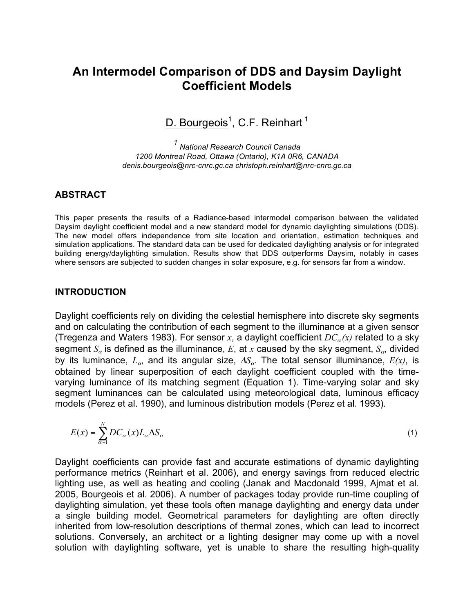# **An Intermodel Comparison of DDS and Daysim Daylight Coefficient Models**

D. Bourgeois<sup>1</sup>, C.F. Reinhart<sup>1</sup>

*<sup>1</sup> National Research Council Canada 1200 Montreal Road, Ottawa (Ontario), K1A 0R6, CANADA denis.bourgeois@nrc-cnrc.gc.ca christoph.reinhart@nrc-cnrc.gc.ca*

#### **ABSTRACT**

This paper presents the results of a Radiance-based intermodel comparison between the validated Daysim daylight coefficient model and a new standard model for dynamic daylighting simulations (DDS). The new model offers independence from site location and orientation, estimation techniques and simulation applications. The standard data can be used for dedicated daylighting analysis or for integrated building energy/daylighting simulation. Results show that DDS outperforms Daysim, notably in cases where sensors are subjected to sudden changes in solar exposure, e.g. for sensors far from a window.

#### **INTRODUCTION**

Daylight coefficients rely on dividing the celestial hemisphere into discrete sky segments and on calculating the contribution of each segment to the illuminance at a given sensor (Tregenza and Waters 1983). For sensor  $x$ , a daylight coefficient  $DC_{\alpha}(x)$  related to a sky segment  $S_a$  is defined as the illuminance,  $E$ , at  $x$  caused by the sky segment,  $S_a$ , divided by its luminance,  $L_{\alpha}$ , and its angular size,  $\Delta S_{\alpha}$ . The total sensor illuminance,  $E(x)$ , is obtained by linear superposition of each daylight coefficient coupled with the timevarying luminance of its matching segment (Equation 1). Time-varying solar and sky segment luminances can be calculated using meteorological data, luminous efficacy models (Perez et al. 1990), and luminous distribution models (Perez et al. 1993).

$$
E(x) = \sum_{\alpha=1}^{N} DC_{\alpha}(x) L_{\alpha} \Delta S_{\alpha}
$$
 (1)

Daylight coefficients can provide fast and accurate estimations of dynamic daylighting performance metrics (Reinhart et al. 2006), and energy savings from reduced electric lighting use, as well as heating and cooling (Janak and Macdonald 1999, Ajmat et al. 2005, Bourgeois et al. 2006). A number of packages today provide run-time coupling of daylighting simulation, yet these tools often manage daylighting and energy data under a single building model. Geometrical parameters for daylighting are often directly inherited from low-resolution descriptions of thermal zones, which can lead to incorrect solutions. Conversely, an architect or a lighting designer may come up with a novel solution with daylighting software, yet is unable to share the resulting high-quality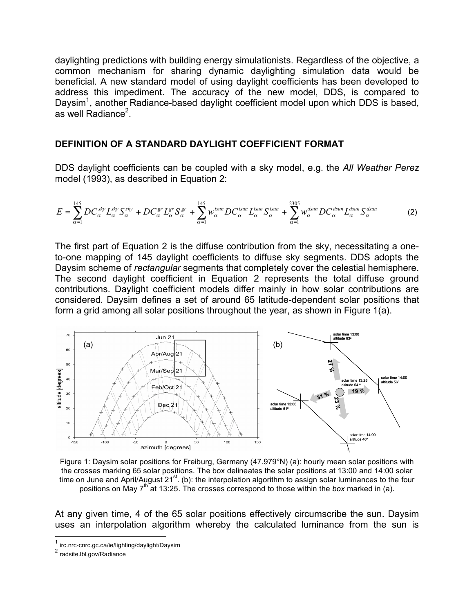daylighting predictions with building energy simulationists. Regardless of the objective, a common mechanism for sharing dynamic daylighting simulation data would be beneficial. A new standard model of using daylight coefficients has been developed to address this impediment. The accuracy of the new model, DDS, is compared to Daysim<sup>1</sup>, another Radiance-based daylight coefficient model upon which DDS is based, as well Radiance<sup>2</sup>.

#### **DEFINITION OF A STANDARD DAYLIGHT COEFFICIENT FORMAT**

DDS daylight coefficients can be coupled with a sky model, e.g. the *All Weather Perez* model (1993), as described in Equation 2:

$$
E = \sum_{\alpha=1}^{145} DC_{\alpha}^{sky} L_{\alpha}^{sky} S_{\alpha}^{sky} + DC_{\alpha}^{gr} L_{\alpha}^{gr} S_{\alpha}^{gr} + \sum_{\alpha=1}^{145} w_{\alpha}^{isun} DC_{\alpha}^{isun} L_{\alpha}^{isun} S_{\alpha}^{isun} + \sum_{\alpha=1}^{2305} w_{\alpha}^{dsun} DC_{\alpha}^{dsun} L_{\alpha}^{dsun} S_{\alpha}^{dsun}
$$
(2)

The first part of Equation 2 is the diffuse contribution from the sky, necessitating a oneto-one mapping of 145 daylight coefficients to diffuse sky segments. DDS adopts the Daysim scheme of *rectangular* segments that completely cover the celestial hemisphere. The second daylight coefficient in Equation 2 represents the total diffuse ground contributions. Daylight coefficient models differ mainly in how solar contributions are considered. Daysim defines a set of around 65 latitude-dependent solar positions that form a grid among all solar positions throughout the year, as shown in Figure 1(a).



Figure 1: Daysim solar positions for Freiburg, Germany (47.979°N) (a): hourly mean solar positions with the crosses marking 65 solar positions. The box delineates the solar positions at 13:00 and 14:00 solar time on June and April/August 21<sup>st</sup>. (b): the interpolation algorithm to assign solar luminances to the four positions on May 7<sup>th</sup> at 13:25. The crosses correspond to those within the *box* marked in (a).

At any given time, 4 of the 65 solar positions effectively circumscribe the sun. Daysim uses an interpolation algorithm whereby the calculated luminance from the sun is

<sup>&</sup>lt;sup>1</sup> irc.nrc-cnrc.gc.ca/ie/lighting/daylight/Daysim  $^2$  radsite.lbl.gov/Radiance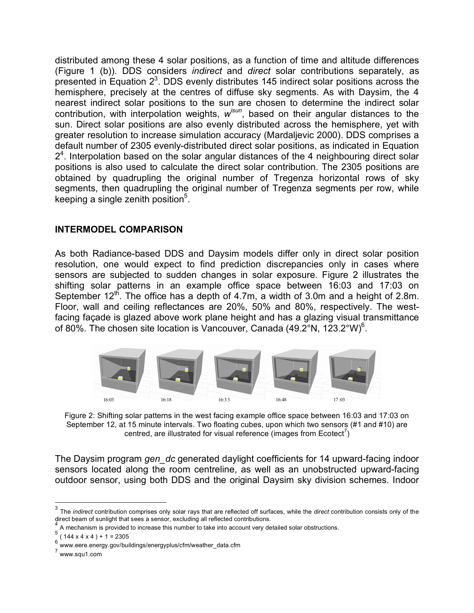distributed among these 4 solar positions, as a function of time and altitude differences (Figure 1 (b)). DDS considers *indirect* and *direct* solar contributions separately, as presented in Equation  $2<sup>3</sup>$ . DDS evenly distributes 145 indirect solar positions across the hemisphere, precisely at the centres of diffuse sky segments. As with Daysim, the 4 nearest indirect solar positions to the sun are chosen to determine the indirect solar contribution, with interpolation weights, *wisun* , based on their angular distances to the sun. Direct solar positions are also evenly distributed across the hemisphere, yet with greater resolution to increase simulation accuracy (Mardaljevic 2000). DDS comprises a default number of 2305 evenly-distributed direct solar positions, as indicated in Equation  $2<sup>4</sup>$ . Interpolation based on the solar angular distances of the 4 neighbouring direct solar positions is also used to calculate the direct solar contribution. The 2305 positions are obtained by quadrupling the original number of Tregenza horizontal rows of sky segments, then quadrupling the original number of Tregenza segments per row, while keeping a single zenith position<sup>5</sup>.

### **INTERMODEL COMPARISON**

As both Radiance-based DDS and Daysim models differ only in direct solar position resolution, one would expect to find prediction discrepancies only in cases where sensors are subjected to sudden changes in solar exposure. Figure 2 illustrates the shifting solar patterns in an example office space between 16:03 and 17:03 on September  $12^{th}$ . The office has a depth of 4.7m, a width of 3.0m and a height of 2.8m. Floor, wall and ceiling reflectances are 20%, 50% and 80%, respectively. The westfacing façade is glazed above work plane height and has a glazing visual transmittance of 80%. The chosen site location is Vancouver, Canada (49.2°N, 123.2°W)<sup>6</sup>.



Figure 2: Shifting solar patterns in the west facing example office space between 16:03 and 17:03 on September 12, at 15 minute intervals. Two floating cubes, upon which two sensors (#1 and #10) are centred, are illustrated for visual reference (images from Ecotect $^7$ )

The Daysim program *gen\_dc* generated daylight coefficients for 14 upward-facing indoor sensors located along the room centreline, as well as an unobstructed upward-facing outdoor sensor, using both DDS and the original Daysim sky division schemes. Indoor

<sup>&</sup>lt;sup>3</sup> The *indirect* contribution comprises only solar rays that are reflected off surfaces, while the *direct* contribution consists only of the direct beam of sunlight that sees a sensor, excluding all reflected contributi

<sup>&</sup>lt;sup>4</sup> A mechanism is provided to increase this number to take into account very detailed solar obstructions. <sup>5</sup> (144 x 4 x 4) + 1 = 2305

<sup>6&</sup>lt;br>
www.eere.energy.gov/buildings/energyplus/cfm/weather\_data.cfm<br>
7 www.squ1.com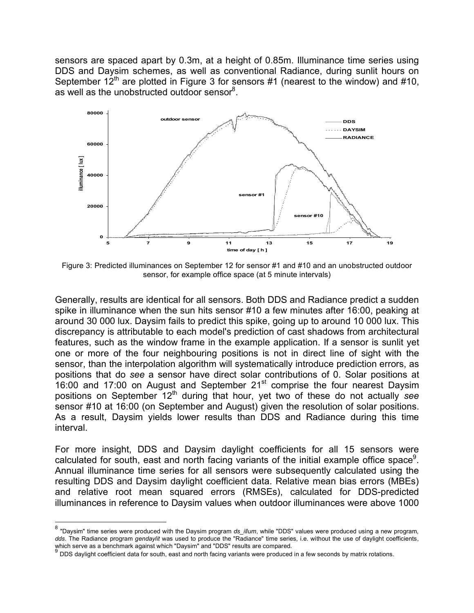sensors are spaced apart by 0.3m, at a height of 0.85m. Illuminance time series using DDS and Daysim schemes, as well as conventional Radiance, during sunlit hours on September  $12^{th}$  are plotted in Figure 3 for sensors #1 (nearest to the window) and #10, as well as the unobstructed outdoor sensor<sup>8</sup>.



Figure 3: Predicted illuminances on September 12 for sensor #1 and #10 and an unobstructed outdoor sensor, for example office space (at 5 minute intervals)

Generally, results are identical for all sensors. Both DDS and Radiance predict a sudden spike in illuminance when the sun hits sensor #10 a few minutes after 16:00, peaking at around 30 000 lux. Daysim fails to predict this spike, going up to around 10 000 lux. This discrepancy is attributable to each model's prediction of cast shadows from architectural features, such as the window frame in the example application. If a sensor is sunlit yet one or more of the four neighbouring positions is not in direct line of sight with the sensor, than the interpolation algorithm will systematically introduce prediction errors, as positions that do *see* a sensor have direct solar contributions of 0. Solar positions at 16:00 and 17:00 on August and September  $21<sup>st</sup>$  comprise the four nearest Daysim positions on September 12<sup>th</sup> during that hour, yet two of these do not actually see sensor #10 at 16:00 (on September and August) given the resolution of solar positions. As a result, Daysim yields lower results than DDS and Radiance during this time interval.

For more insight, DDS and Daysim daylight coefficients for all 15 sensors were calculated for south, east and north facing variants of the initial example office space<sup>9</sup>. Annual illuminance time series for all sensors were subsequently calculated using the resulting DDS and Daysim daylight coefficient data. Relative mean bias errors (MBEs) and relative root mean squared errors (RMSEs), calculated for DDS-predicted illuminances in reference to Daysim values when outdoor illuminances were above 1000

 <sup>8</sup> "Daysim" time series were produced with the Daysim program *ds\_illum*, while "DDS" values were produced using <sup>a</sup> new program, dds. The Radiance program *gendaylit* was used to produce the "Radiance" time series, i.e. without the use of daylight coefficients, which serve as a benchmark against which "Daysim" and "DDS" results are compared.

 $^9$  DDS daylight coefficient data for south, east and north facing variants were produced in a few seconds by matrix rotations.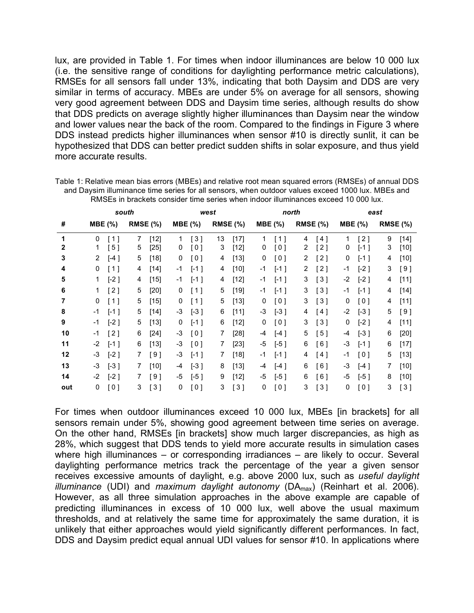lux, are provided in Table 1. For times when indoor illuminances are below 10 000 lux (i.e. the sensitive range of conditions for daylighting performance metric calculations), RMSEs for all sensors fall under 13%, indicating that both Daysim and DDS are very similar in terms of accuracy. MBEs are under 5% on average for all sensors, showing very good agreement between DDS and Daysim time series, although results do show that DDS predicts on average slightly higher illuminances than Daysim near the window and lower values near the back of the room. Compared to the findings in Figure 3 where DDS instead predicts higher illuminances when sensor #10 is directly sunlit, it can be hypothesized that DDS can better predict sudden shifts in solar exposure, and thus yield more accurate results.

|     | south          |                    |                 |        | west   |                     |                 |        | north          |        |          |                   | east           |                     |                 |        |
|-----|----------------|--------------------|-----------------|--------|--------|---------------------|-----------------|--------|----------------|--------|----------|-------------------|----------------|---------------------|-----------------|--------|
| #   | <b>MBE</b> (%) |                    | <b>RMSE (%)</b> |        | MBE(%) |                     | <b>RMSE (%)</b> |        | <b>MBE</b> (%) |        | RMSE (%) |                   | <b>MBE</b> (%) |                     | <b>RMSE (%)</b> |        |
| 1   | 0              | [1]                | 7               | $[12]$ | 1      | $\lceil 3 \rceil$   | 13              | $[17]$ | 1              | [1]    | 4        | [4]               |                | [2]                 | 9               | $[14]$ |
| 2   | 1              | [ 5 ]              | 5               | $[25]$ | 0      | $\lbrack 0 \rbrack$ | 3               | $[12]$ | 0              | [0]    | 2        | [2]               | 0              | $\left[ -1 \right]$ | 3               | $[10]$ |
| 3   | $\overline{2}$ | $\lceil -4 \rceil$ | 5               | [18]   | 0      | [0]                 | 4               | $[13]$ | 0              | [0]    | 2        | [2]               | 0              | $[-1]$              | 4               | $[10]$ |
| 4   | 0              | $[1]$              | 4               | $[14]$ | -1     | $[-1]$              | 4               | $[10]$ | -1             | $[-1]$ | 2        | [2]               | -1             | $[-2]$              | 3               | [9]    |
| 5   | 1              | $[-2]$             | 4               | [15]   | -1     | $[-1]$              | 4               | $[12]$ | -1             | $[-1]$ | 3        | $\lceil 3 \rceil$ | $-2$           | $[-2]$              | 4               | [11]   |
| 6   | 1              | [2]                | 5               | [20]   | 0      | [1]                 | 5               | $[19]$ | -1             | $[-1]$ | 3        | [3]               | -1             | $[-1]$              | 4               | $[14]$ |
| 7   | 0              | [1]                | 5               | $[15]$ | 0      | [1]                 | 5               | [13]   | 0              | [0]    | 3        | $\lceil 3 \rceil$ | 0              | [0]                 | 4               | $[11]$ |
| 8   | $-1$           | $[-1]$             | 5               | [14]   | -3     | $[-3]$              | 6               | [11]   | -3             | $[-3]$ | 4        | [4]               | $-2$           | $[-3]$              | 5               | [9]    |
| 9   | -1             | $[-2]$             | 5               | [13]   | 0      | $[-1]$              | 6               | $[12]$ | 0              | [0]    | 3        | [3]               | 0              | $[-2]$              | 4               | [11]   |
| 10  | -1             | [2]                | 6               | $[24]$ | -3     | [0]                 | 7               | [28]   | -4             | $[-4]$ | 5        | [5]               | -4             | $[-3]$              | 6               | $[20]$ |
| 11  | -2             | $[-1]$             | 6               | [13]   | -3     | [0]                 | 7               | $[23]$ | -5             | $[-5]$ | 6        | [6]               | -3             | $[-1]$              | 6               | $[17]$ |
| 12  | -3             | $[-2]$             | 7               | [9]    | -3     | $[-1]$              | 7               | [18]   | -1             | $[-1]$ | 4        | [4]               | $-1$           | [0]                 | 5               | $[13]$ |
| 13  | -3             | $[-3]$             | 7               | [10]   | -4     | $[-3]$              | 8               | [13]   | -4             | $[-4]$ | 6        | [6]               | -3             | $[-4]$              | 7               | $[10]$ |
| 14  | -2             | $[-2]$             | 7               | I 9 1  | -5     | $[-5]$              | 9               | $[12]$ | -5             | $[-5]$ | 6        | [6]               | -5             | $[-5]$              | 8               | $[10]$ |
| out | 0              | [0]                | 3               | [3]    | 0      | [0]                 | 3               | [3]    | 0              | [0]    | 3        | [3]               | 0              | [0]                 | 3               | [3]    |

Table 1: Relative mean bias errors (MBEs) and relative root mean squared errors (RMSEs) of annual DDS and Daysim illuminance time series for all sensors, when outdoor values exceed 1000 lux. MBEs and RMSEs in brackets consider time series when indoor illuminances exceed 10 000 lux.

For times when outdoor illuminances exceed 10 000 lux, MBEs [in brackets] for all sensors remain under 5%, showing good agreement between time series on average. On the other hand, RMSEs [in brackets] show much larger discrepancies, as high as 28%, which suggest that DDS tends to yield more accurate results in simulation cases where high illuminances – or corresponding irradiances – are likely to occur. Several daylighting performance metrics track the percentage of the year a given sensor receives excessive amounts of daylight, e.g. above 2000 lux, such as *useful daylight illuminance* (UDI) and *maximum daylight autonomy* (DAmax) (Reinhart et al. 2006). However, as all three simulation approaches in the above example are capable of predicting illuminances in excess of 10 000 lux, well above the usual maximum thresholds, and at relatively the same time for approximately the same duration, it is unlikely that either approaches would yield significantly different performances. In fact, DDS and Daysim predict equal annual UDI values for sensor #10. In applications where